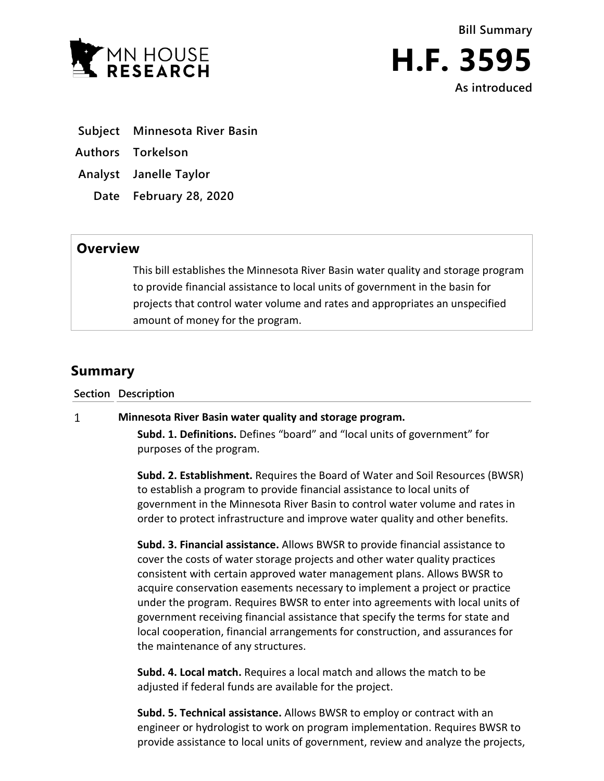



**Subject Minnesota River Basin**

- **Authors Torkelson**
- **Analyst Janelle Taylor**
	- **Date February 28, 2020**

## **Overview**

This bill establishes the Minnesota River Basin water quality and storage program to provide financial assistance to local units of government in the basin for projects that control water volume and rates and appropriates an unspecified amount of money for the program.

# **Summary**

**Section Description**

#### $\mathbf{1}$ **Minnesota River Basin water quality and storage program.**

**Subd. 1. Definitions.** Defines "board" and "local units of government" for purposes of the program.

**Subd. 2. Establishment.** Requires the Board of Water and Soil Resources (BWSR) to establish a program to provide financial assistance to local units of government in the Minnesota River Basin to control water volume and rates in order to protect infrastructure and improve water quality and other benefits.

**Subd. 3. Financial assistance.** Allows BWSR to provide financial assistance to cover the costs of water storage projects and other water quality practices consistent with certain approved water management plans. Allows BWSR to acquire conservation easements necessary to implement a project or practice under the program. Requires BWSR to enter into agreements with local units of government receiving financial assistance that specify the terms for state and local cooperation, financial arrangements for construction, and assurances for the maintenance of any structures.

**Subd. 4. Local match.** Requires a local match and allows the match to be adjusted if federal funds are available for the project.

**Subd. 5. Technical assistance.** Allows BWSR to employ or contract with an engineer or hydrologist to work on program implementation. Requires BWSR to provide assistance to local units of government, review and analyze the projects,